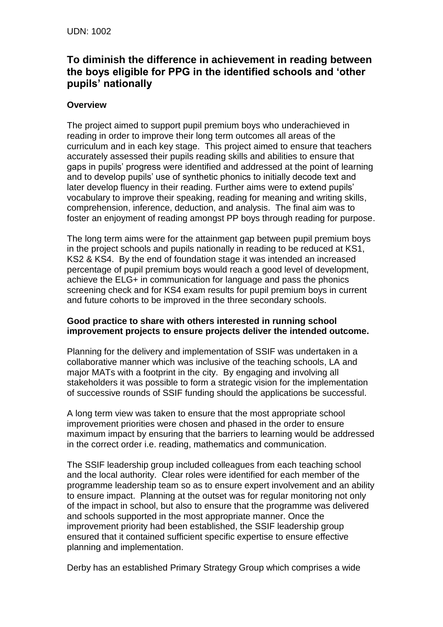## **To diminish the difference in achievement in reading between the boys eligible for PPG in the identified schools and 'other pupils' nationally**

## **Overview**

The project aimed to support pupil premium boys who underachieved in reading in order to improve their long term outcomes all areas of the curriculum and in each key stage. This project aimed to ensure that teachers accurately assessed their pupils reading skills and abilities to ensure that gaps in pupils' progress were identified and addressed at the point of learning and to develop pupils' use of synthetic phonics to initially decode text and later develop fluency in their reading. Further aims were to extend pupils' vocabulary to improve their speaking, reading for meaning and writing skills, comprehension, inference, deduction, and analysis. The final aim was to foster an enjoyment of reading amongst PP boys through reading for purpose.

The long term aims were for the attainment gap between pupil premium boys in the project schools and pupils nationally in reading to be reduced at KS1, KS2 & KS4. By the end of foundation stage it was intended an increased percentage of pupil premium boys would reach a good level of development, achieve the ELG+ in communication for language and pass the phonics screening check and for KS4 exam results for pupil premium boys in current and future cohorts to be improved in the three secondary schools.

## **Good practice to share with others interested in running school improvement projects to ensure projects deliver the intended outcome.**

Planning for the delivery and implementation of SSIF was undertaken in a collaborative manner which was inclusive of the teaching schools, LA and major MATs with a footprint in the city. By engaging and involving all stakeholders it was possible to form a strategic vision for the implementation of successive rounds of SSIF funding should the applications be successful.

A long term view was taken to ensure that the most appropriate school improvement priorities were chosen and phased in the order to ensure maximum impact by ensuring that the barriers to learning would be addressed in the correct order i.e. reading, mathematics and communication.

The SSIF leadership group included colleagues from each teaching school and the local authority. Clear roles were identified for each member of the programme leadership team so as to ensure expert involvement and an ability to ensure impact. Planning at the outset was for regular monitoring not only of the impact in school, but also to ensure that the programme was delivered and schools supported in the most appropriate manner. Once the improvement priority had been established, the SSIF leadership group ensured that it contained sufficient specific expertise to ensure effective planning and implementation.

Derby has an established Primary Strategy Group which comprises a wide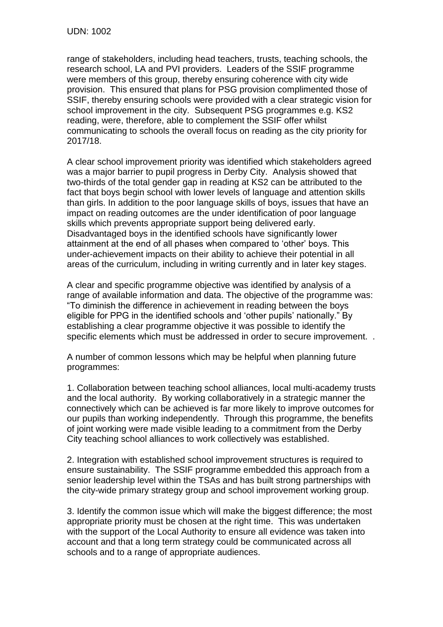range of stakeholders, including head teachers, trusts, teaching schools, the research school, LA and PVI providers. Leaders of the SSIF programme were members of this group, thereby ensuring coherence with city wide provision. This ensured that plans for PSG provision complimented those of SSIF, thereby ensuring schools were provided with a clear strategic vision for school improvement in the city. Subsequent PSG programmes e.g. KS2 reading, were, therefore, able to complement the SSIF offer whilst communicating to schools the overall focus on reading as the city priority for 2017/18.

A clear school improvement priority was identified which stakeholders agreed was a major barrier to pupil progress in Derby City. Analysis showed that two-thirds of the total gender gap in reading at KS2 can be attributed to the fact that boys begin school with lower levels of language and attention skills than girls. In addition to the poor language skills of boys, issues that have an impact on reading outcomes are the under identification of poor language skills which prevents appropriate support being delivered early. Disadvantaged boys in the identified schools have significantly lower attainment at the end of all phases when compared to 'other' boys. This under-achievement impacts on their ability to achieve their potential in all areas of the curriculum, including in writing currently and in later key stages.

A clear and specific programme objective was identified by analysis of a range of available information and data. The objective of the programme was: "To diminish the difference in achievement in reading between the boys eligible for PPG in the identified schools and 'other pupils' nationally." By establishing a clear programme objective it was possible to identify the specific elements which must be addressed in order to secure improvement. .

A number of common lessons which may be helpful when planning future programmes:

1. Collaboration between teaching school alliances, local multi-academy trusts and the local authority. By working collaboratively in a strategic manner the connectively which can be achieved is far more likely to improve outcomes for our pupils than working independently. Through this programme, the benefits of joint working were made visible leading to a commitment from the Derby City teaching school alliances to work collectively was established.

2. Integration with established school improvement structures is required to ensure sustainability. The SSIF programme embedded this approach from a senior leadership level within the TSAs and has built strong partnerships with the city-wide primary strategy group and school improvement working group.

3. Identify the common issue which will make the biggest difference; the most appropriate priority must be chosen at the right time. This was undertaken with the support of the Local Authority to ensure all evidence was taken into account and that a long term strategy could be communicated across all schools and to a range of appropriate audiences.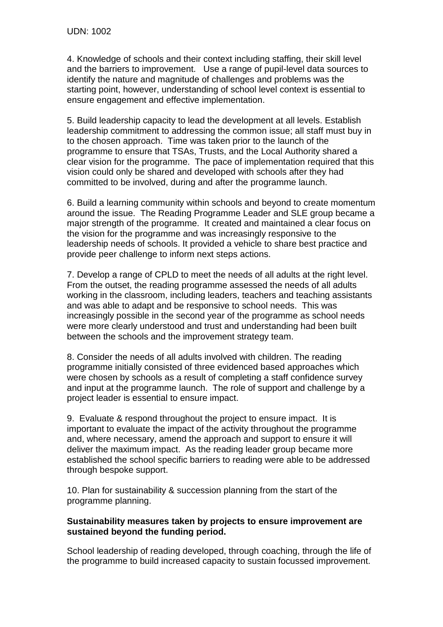4. Knowledge of schools and their context including staffing, their skill level and the barriers to improvement. Use a range of pupil-level data sources to identify the nature and magnitude of challenges and problems was the starting point, however, understanding of school level context is essential to ensure engagement and effective implementation.

5. Build leadership capacity to lead the development at all levels. Establish leadership commitment to addressing the common issue; all staff must buy in to the chosen approach. Time was taken prior to the launch of the programme to ensure that TSAs, Trusts, and the Local Authority shared a clear vision for the programme. The pace of implementation required that this vision could only be shared and developed with schools after they had committed to be involved, during and after the programme launch.

6. Build a learning community within schools and beyond to create momentum around the issue. The Reading Programme Leader and SLE group became a major strength of the programme. It created and maintained a clear focus on the vision for the programme and was increasingly responsive to the leadership needs of schools. It provided a vehicle to share best practice and provide peer challenge to inform next steps actions.

7. Develop a range of CPLD to meet the needs of all adults at the right level. From the outset, the reading programme assessed the needs of all adults working in the classroom, including leaders, teachers and teaching assistants and was able to adapt and be responsive to school needs. This was increasingly possible in the second year of the programme as school needs were more clearly understood and trust and understanding had been built between the schools and the improvement strategy team.

8. Consider the needs of all adults involved with children. The reading programme initially consisted of three evidenced based approaches which were chosen by schools as a result of completing a staff confidence survey and input at the programme launch. The role of support and challenge by a project leader is essential to ensure impact.

9. Evaluate & respond throughout the project to ensure impact. It is important to evaluate the impact of the activity throughout the programme and, where necessary, amend the approach and support to ensure it will deliver the maximum impact. As the reading leader group became more established the school specific barriers to reading were able to be addressed through bespoke support.

10. Plan for sustainability & succession planning from the start of the programme planning.

## **Sustainability measures taken by projects to ensure improvement are sustained beyond the funding period.**

School leadership of reading developed, through coaching, through the life of the programme to build increased capacity to sustain focussed improvement.